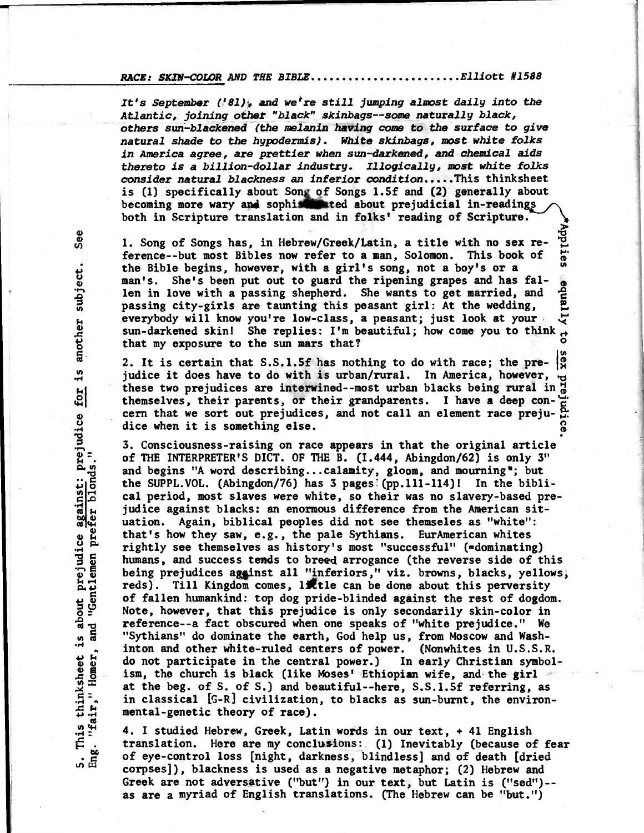## **RACE: SKIN-COLOR AND THE BIBLE...........................Elliott #1588**

It's September ('81), and we<sup>r</sup>re still jumping almost daily into the **Atlantic, joining other "black" skinbags--some naturally black, others sun-blackened (the melanin having come to the surface to give natural shade to the hypodermis). White skinbags, most white folks in America agree, are prettier when sun-darkened, and chemical aids thereto is a billion-dollar industry. Illogically, most white folks consider natural blackness an inferior condition This thinksheet is (1) specifically about Song of Songs 1.5f and (2) generally about**  becoming more wary and sophist ated about prejudicial in-readings **both in Scripture translation and in folks' reading of Scripture.** 

1. Song of Songs has, in Hebrew/Greek/Latin, a title with no sex re-<br>ference--but most Bibles now refer to a man, Solomon. This book of  $\frac{1}{60}$ **ference--but most Bibles now refer to a man, Solomon. This book of gthe Bible begins, however, with a girl's song, not a boy's or a**  man's. She's been put out to guard the ripening grapes and has fal-<br>len in love with a passing shepherd. She wants to get married, and eg<br>passing city-girls are taunting this peasant girl: At the wedding, len in love with a passing shepherd. She wants to get married, and **passing city-girls are taunting this peasant girl: At the wedding, 21**<br>everybody will know you're low-class, a peasant; just look at your everybody will know you're low-class, a peasant; just look at your **sun-darkened skin!** She replies: I'm beautiful; how come you to think  $\frac{1}{\alpha}$ **that my exposure to the sun mars that?** 

2. It is certain that S.S.1.5f has nothing to do with race; the pre-  $|_{\mathfrak{X}}^{\circ}$ judice it does have to do with is urban/rural. In America, however, **these two prejudices are interwined--most urban blacks being rural in**  themselves, their parents, or their grandparents. I have a deep con-<sup>1</sup> themselves, their parents, or their grandparents. I have a deep con- $\frac{c}{c}$ <br>cern that we sort out prejudices, and not call an element race preju-di dice when it is something else.

**• 3. Consciousness-raising on race appears in that the original article of THE INTERPRETER'S DICT. OF THE B. (1.444, Abingdon/62) is only 3" and begins "A word describing...calamity, gloom, and mourning"; but**  the SUPPL. VOL. (Abingdon/76) has 3 pages<sup>[(pp.111-114)! In the bibli-</sup> **cal period, most slaves were white, so their was no slavery-based prejudice against blacks: an enormous difference from the American situation. Again, biblical peoples did not see themseles as "white": that's how they saw, e.g., the pale Sythians. EurAmerican whites rightly see themselves as history's most "successful" (=dominating) humans, and success tends to breed arrogance (the reverse side of this**  being prejudices against all "inferiors," viz. browns, blacks, yellows, **reds). Till Kingdom comes, little can be done about this perversity of fallen humankind: top dog pride-blinded against the rest of dogdom. Note, however, that this prejudice is only secondarily skin-color in reference--a fact obscured when one speaks of "white prejudice." We "Sythians" do dominate the earth, God help us, from Moscow and Washinton and other white-ruled centers of power. (Nonwhites in U.S.S.R. do not participate in the central power.) In early Christian symbolism, the church is black (like Moses' Ethiopian wife, and the girl at the beg. of S. of S.) and beautiful--here, S.S.1.5f referring, as in classical [G-R] civilization, to blacks as sun-burnt, the environmental-genetic theory of race).** 

**4. I studied Hebrew, Greek, Latin words in our text, + 41 English translation. Here are my conclusions: (1) Inevitably (because of fear of eye-control loss [night, darkness, blindless] and of death [dried corpses]), blackness is used as a negative metaphor; (2) Hebrew and Greek are not adversative ("but") in our text, but Latin is ("sed")- as are a myriad of English translations. (rhe Hebrew can be "but.")** 

See **ect. ubj thers ano** for is about prejudice against: prejudice<br>and "Gentlemen prefer blonds."  $\frac{5}{1}$ "fair," Homer, This thinksheet ្ឆ<br>អើ